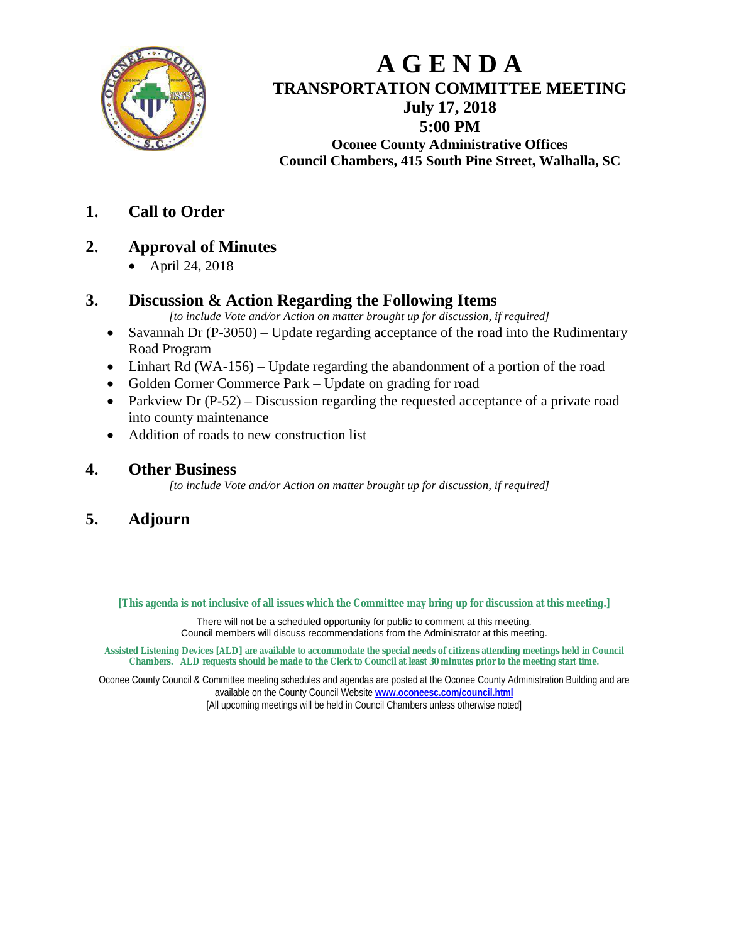

# **A G E N D A TRANSPORTATION COMMITTEE MEETING July 17, 2018 5:00 PM**

**Oconee County Administrative Offices Council Chambers, 415 South Pine Street, Walhalla, SC**

**1. Call to Order**

# **2. Approval of Minutes**

• April 24, 2018

# **3. Discussion & Action Regarding the Following Items**

*[to include Vote and/or Action on matter brought up for discussion, if required]*

- Savannah Dr (P-3050) Update regarding acceptance of the road into the Rudimentary Road Program
- Linhart Rd (WA-156) Update regarding the abandonment of a portion of the road
- Golden Corner Commerce Park Update on grading for road
- Parkview Dr (P-52) Discussion regarding the requested acceptance of a private road into county maintenance
- Addition of roads to new construction list

## **4. Other Business**

*[to include Vote and/or Action on matter brought up for discussion, if required]*

# **5. Adjourn**

**[This agenda is not inclusive of all issues which the Committee may bring up for discussion at this meeting.]**

There will not be a scheduled opportunity for public to comment at this meeting. Council members will discuss recommendations from the Administrator at this meeting.

**Assisted Listening Devices [ALD] are available to accommodate the special needs of citizens attending meetings held in Council Chambers. ALD requests should be made to the Clerk to Council at least 30 minutes prior to the meeting start time.**

Oconee County Council & Committee meeting schedules and agendas are posted at the Oconee County Administration Building and are available on the County Council Website **[www.oconeesc.com/council.html](http://www.oconeesc.com/council.html)** [All upcoming meetings will be held in Council Chambers unless otherwise noted]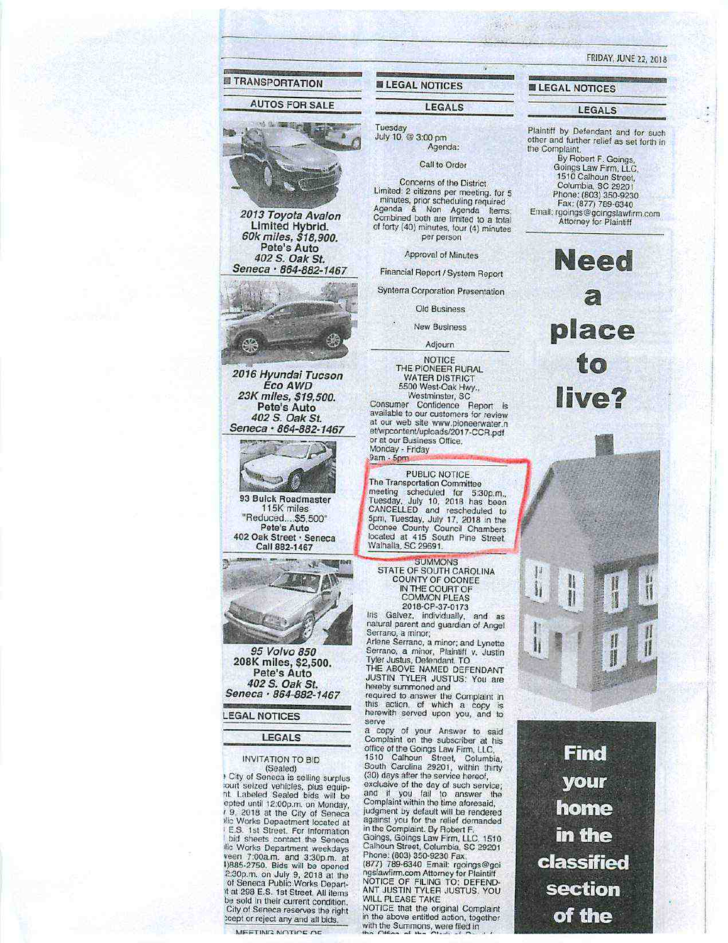**TRANSPORTATION AUTOS FOR SALE** Agenda & Non Scheduled Terms:<br>Combined both are limited to a total<br>of forty (40) minutes, four (4) minutes<br>per person 2013 Toyota Avalon Limited Hybrid.<br>60k miles, \$18,900. Pete's Auto 402 S. Oak St.<br>Seneca · 864-882-1467 CR. 2016 Hyundai Tucson Eco AWD 23K miles, \$19,500.<br>Pete's Auto Consumer Contidence Report is<br>available to our customers for review<br>at our web site www.pioneerwater.n<br>et/wpcontent/uploads/2017-CCR.pdf 402 S. Oak St. Seneca · 864-882-1467 or at our Business Office. Monday - Friday<br>9am - 5pm 93 Buick Roadmaster<br>115K miles "Reduced....\$5,500" Pete's Auto 402 Oak Street · Seneca Call 882-1467 围 95 Volvo 850 208K miles, \$2,500. Pete's Auto 402 S. Oak St. Seneca · 864-882-1467 **LEGAL NOTICES LEGALS** 

#### **INVITATION TO BID**

(Sealed) City of Seneca is selling surplus tourt seized vehicles, plus equipour sexe ventices, plus equip-<br>the Labeled Sealed bids will be<br>epted until 12:00p.m. on Monday,<br> $t = 9$ , 2018 at the City of Seneca<br>slic Works Depaetment located at E.S. 1st Street. For information bid sheets contact the Seneca ilic Works Department weekdays ale violence and 3.30p.m.<br>1988-2750. Bids will be opened<br>2.30p.m. on July 9, 2018 at the<br>1988 E.S. 1st Street, All items<br>that 298 E.S. 1st Street, All items<br>compliant the sold in their current condition.<br>City of Seneca reserves the right tcept or reject any and all bids.

## **FRIDAY, JUNE 22, 2018**

#### **■ LEGAL NOTICES**

WAS CREATED

#### LEGALS

Plaintiff by Defendant and for such other and further relief as set forth in the Complaint

By Robert F. Goings,<br>Goings Law Firm, LLC,<br>1510 Calhoun Street, Columbia, SC 29201 Phone: (803) 350-9230<br>Fax: (877) 789-6340 Email: rgoings@goingslawfirm.com

> Need  $\widehat{\boldsymbol{x}}$ place to live?





# The Transportation Committee<br>meeting scheduled for 5:30p.m.,<br>Tuesday, July 10, 2018 has been<br>CANCELLED and rescheduled to<br>5pm, Tuesday, July 17, 2018 in the

Iris Galvez, individually, and as<br>natural parent and guardian of Angel Serrano, a minor:

**ELEGAL NOTICES** 

July 10, @ 3:00 pm

Tuesday

LEGALS

Agenda:

Call to Order Concerns of the District

Limited: 2 citizens per meeting, for 5

minutes, prior scheduling required

Approval of Minutes

Financial Report / System Report Synterra Corporation Presentation

Old Business

**New Business** 

Adjourn **NOTICE** 

THE PIONEER RURAL

**WATER DISTRICT** 5500 West-Oak Hwy.,

Westminster, SC

PUBLIC NOTICE

Arlene Serrano, a minor; and Lynette<br>Serrano, a minor, Plaintiff v. Justin

hereby summoned and

serve

office of the Goings Law Firm, LLC, 1510 Calhoun Street, Columbia, South Carolina 29201, within thirty

exclusive of the day of such service;<br>and if you fail to answer the<br>Complaint within the time aforesaid, Complaint within the time and solution.<br>
judgment by default will be rendered<br>
in the Complaint. By Robert F.<br>
Goings, Goings Law Firm, LLC, 1510<br>
Calhoun Street, Columbia, SC 29201<br>
The Complaint Street Columbia, SC 29201

Phone: (803) 350-9230 Fax:

(877) 789-6340 Email: rgoings@goingstawfirm.com Attorney for Plaintiff<br>MOTICE OF FILING TO: DEFEND-<br>ANT JUSTIN TYLER JUSTUS. YOU

WILL PLEASE TAKE<br>NOTICE that the original Complaint<br>in the above entitled action, together with the Summons, were filed in

Oconee County Council Chambers<br>located at 415 South Pine Street,<br>Walhalla, SC 29691. SUMMONS<br>STATE OF SOUTH CAROLINA<br>COUNTY OF OCONEE<br>IN THE COURT OF **COMMON PLEAS** 2018-CP-37-0173

Tyler Justus, Defendant, TO<br>THE ABOVE NAMED DEFENDANT<br>JUSTIN TYLER JUSTUS: You are

required to answer the Complaint in<br>this action, of which a copy is<br>herewith served upon you, and to

a copy of your Answer to said<br>Complaint on the subscriber at his

(30) days after the service hereof,

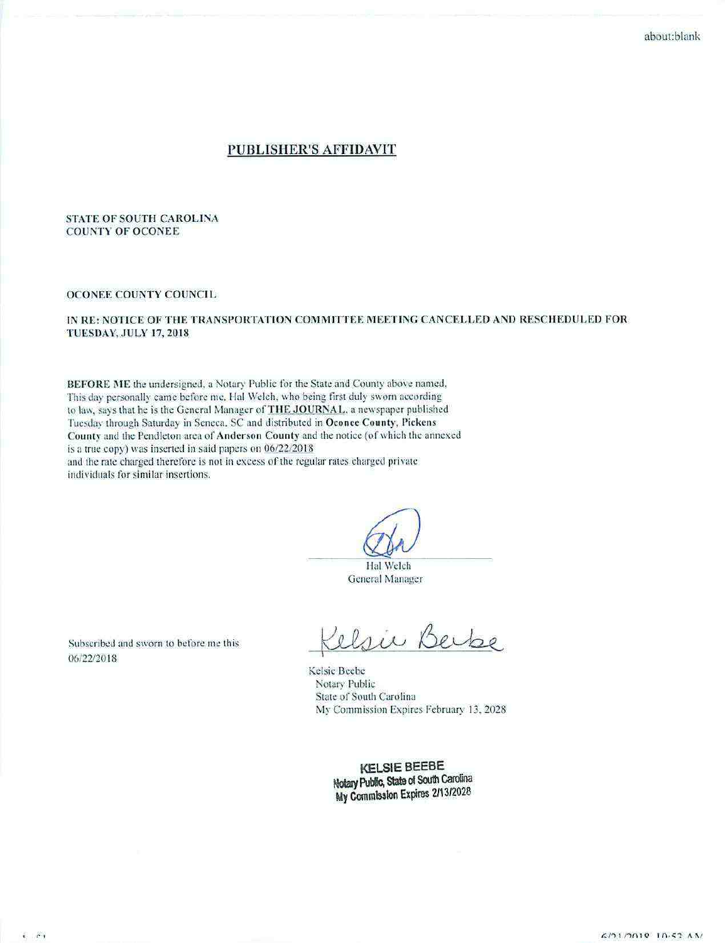#### PUBLISHER'S AFFIDAVIT

#### **STATE OF SOUTH CAROLINA COUNTY OF OCONEE**

#### OCONEE COUNTY COUNCIL

#### IN RE: NOTICE OF THE TRANSPORTATION COMMITTEE MEETING CANCELLED AND RESCHEDULED FOR **TUESDAY, JULY 17, 2018**

BEFORE ME the undersigned, a Notary Public for the State and County above named, This day personally came before me, Hal Welch, who being first duly sworn according to law, says that he is the General Manager of THE JOURNAL, a newspaper published Tuesday through Saturday in Seneca, SC and distributed in Oconee County, Pickens County and the Pendleton area of Anderson County and the notice (of which the annexed is a true copy) was inserted in said papers on 06/22/2018 and the rate charged therefore is not in excess of the regular rates charged private

individuals for similar insertions.

Hal Welch General Manager

Subscribed and sworn to before me this 06/22/2018

elsie Berbe

Kelsie Beebe Notary Public State of South Carolina My Commission Expires February 13, 2028

**KELSIE BEEBE** Notary Public, State of South Carolina My Commission Expires 2/13/2028

 $\sqrt{2}$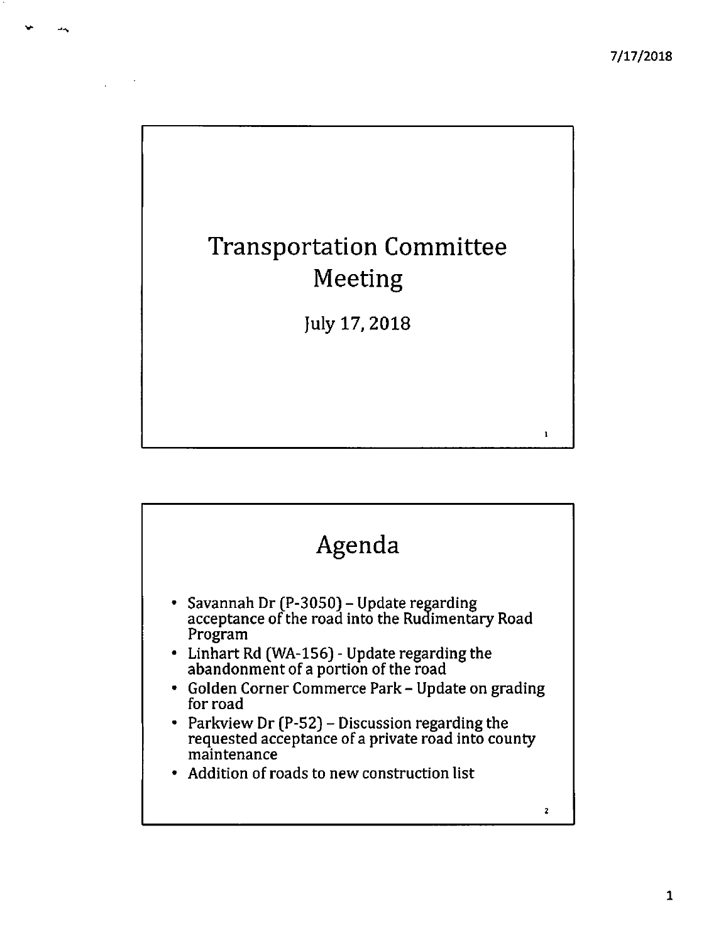$\mathbf{1}$ 

# **Transportation Committee** Meeting

July 17, 2018

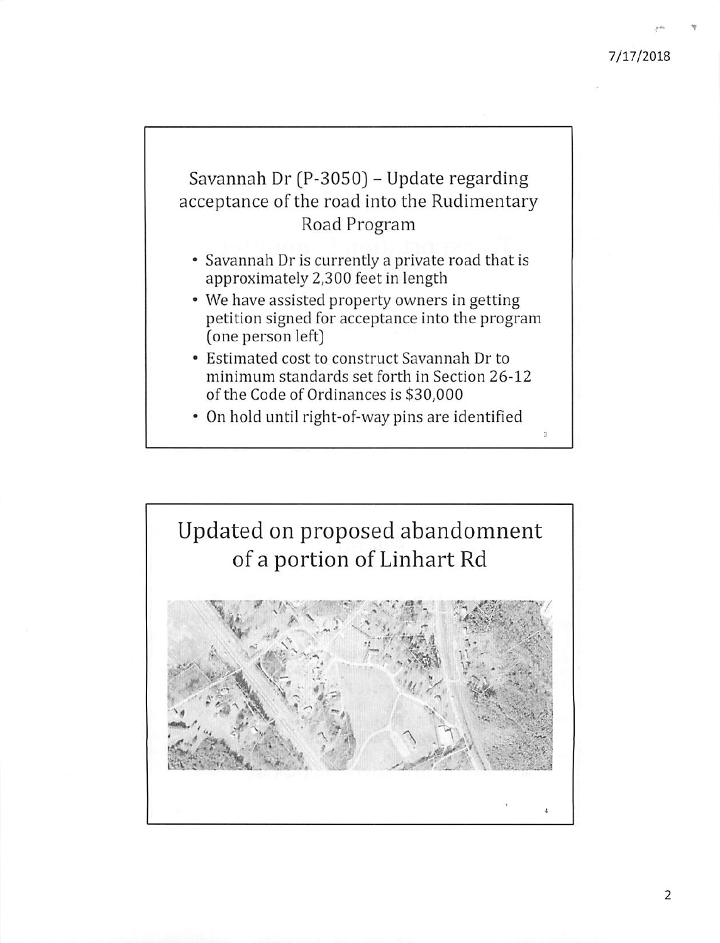## 7/17/2018

# Savannah Dr (P-3050) - Update regarding acceptance of the road into the Rudimentary Road Program

- Savannah Dr is currently a private road that is approximately 2,300 feet in length
- We have assisted property owners in getting petition signed for acceptance into the program (one person left)
- Estimated cost to construct Savannah Dr to minimum standards set forth in Section 26-12 of the Code of Ordinances is \$30,000
- On hold until right-of-way pins are identified

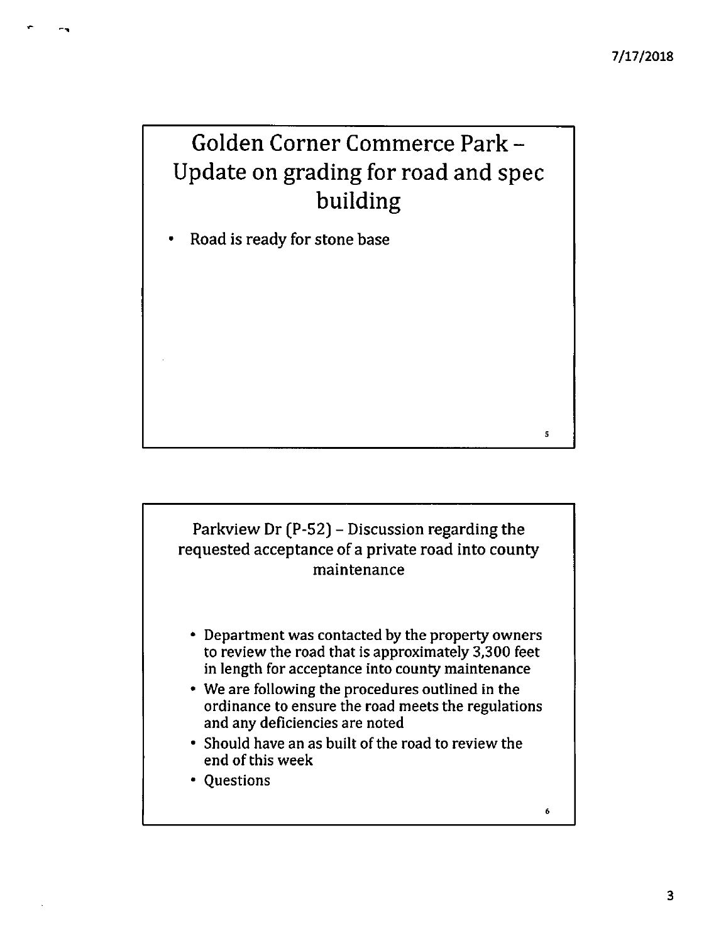5

 $\pmb{6}$ 

# Golden Corner Commerce Park -Update on grading for road and spec building

Road is ready for stone base  $\bullet$ 

# Parkview Dr (P-52) – Discussion regarding the requested acceptance of a private road into county maintenance

- Department was contacted by the property owners to review the road that is approximately 3,300 feet in length for acceptance into county maintenance
- We are following the procedures outlined in the ordinance to ensure the road meets the regulations and any deficiencies are noted
- Should have an as built of the road to review the end of this week
- Questions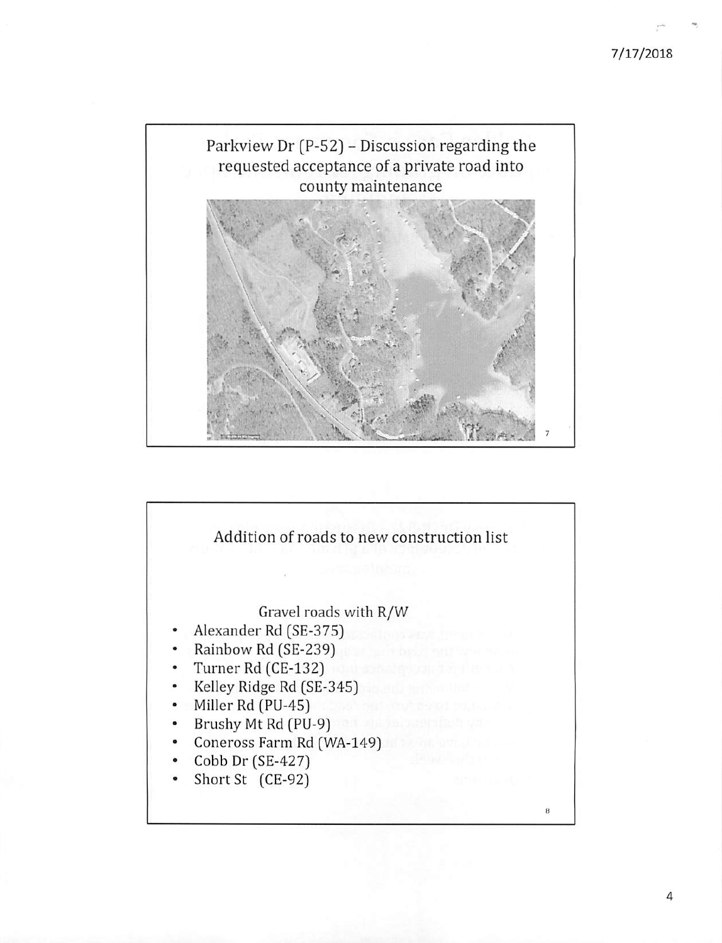### 7/17/2018





4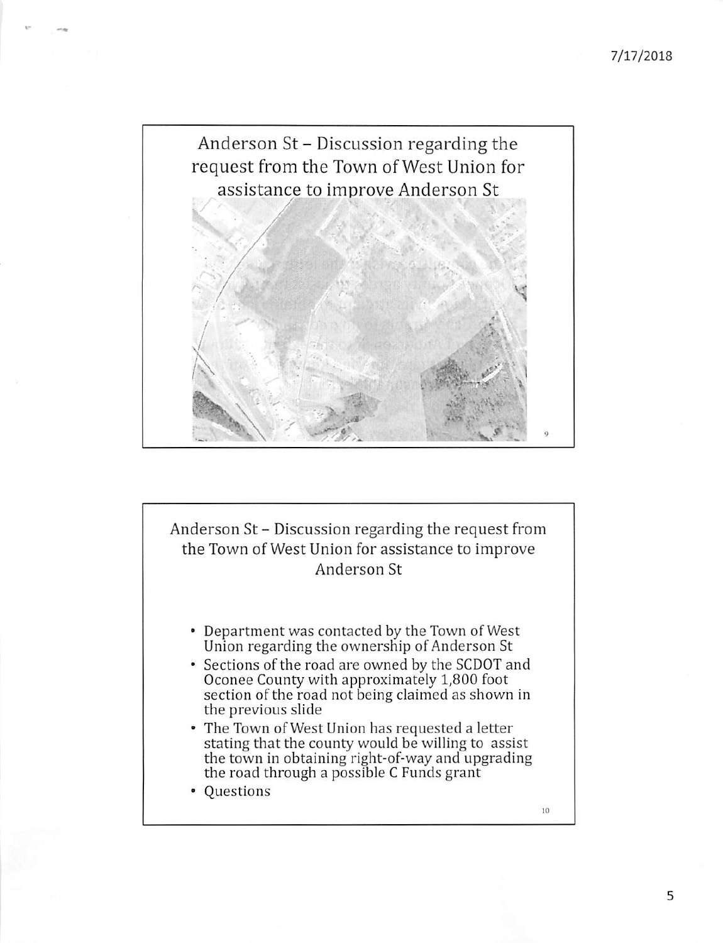

Anderson St - Discussion regarding the request from the Town of West Union for assistance to improve Anderson St

- Department was contacted by the Town of West Union regarding the ownership of Anderson St
- Sections of the road are owned by the SCDOT and Oconee County with approximately 1,800 foot section of the road not being claimed as shown in the previous slide
- The Town of West Union has requested a letter stating that the county would be willing to assist the town in obtaining right-of-way and upgrading<br>the road through a possible C Funds grant
- Questions

10